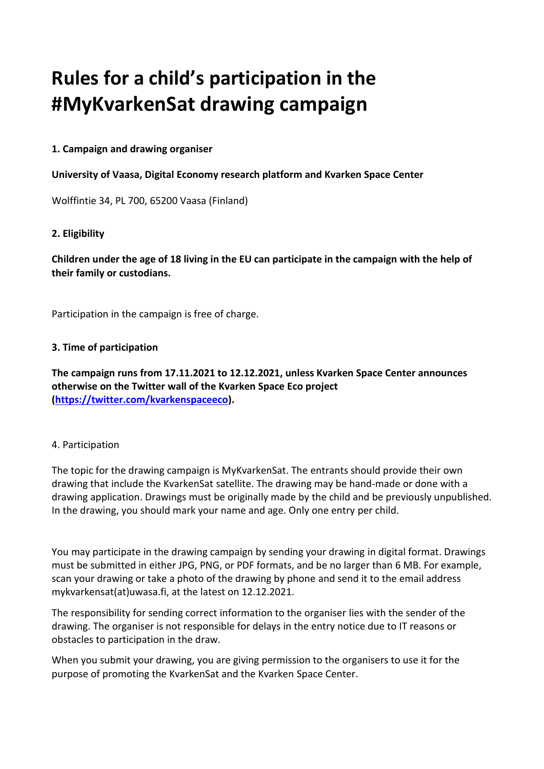# **Rules for a child's participation in the #MyKvarkenSat drawing campaign**

## **1. Campaign and drawing organiser**

## **University of Vaasa, Digital Economy research platform and Kvarken Space Center**

Wolffintie 34, PL 700, 65200 Vaasa (Finland)

## **2. Eligibility**

**Children under the age of 18 living in the EU can participate in the campaign with the help of their family or custodians.** 

Participation in the campaign is free of charge.

## **3. Time of participation**

**The campaign runs from 17.11.2021 to 12.12.2021, unless Kvarken Space Center announces otherwise on the Twitter wall of the Kvarken Space Eco project [\(https://twitter.com/kvarkenspaceeco\)](https://twitter.com/kvarkenspaceeco).**

#### 4. Participation

The topic for the drawing campaign is MyKvarkenSat. The entrants should provide their own drawing that include the KvarkenSat satellite. The drawing may be hand-made or done with a drawing application. Drawings must be originally made by the child and be previously unpublished. In the drawing, you should mark your name and age. Only one entry per child.

You may participate in the drawing campaign by sending your drawing in digital format. Drawings must be submitted in either JPG, PNG, or PDF formats, and be no larger than 6 MB. For example, scan your drawing or take a photo of the drawing by phone and send it to the email address mykvarkensat(at)uwasa.fi, at the latest on 12.12.2021.

The responsibility for sending correct information to the organiser lies with the sender of the drawing. The organiser is not responsible for delays in the entry notice due to IT reasons or obstacles to participation in the draw.

When you submit your drawing, you are giving permission to the organisers to use it for the purpose of promoting the KvarkenSat and the Kvarken Space Center.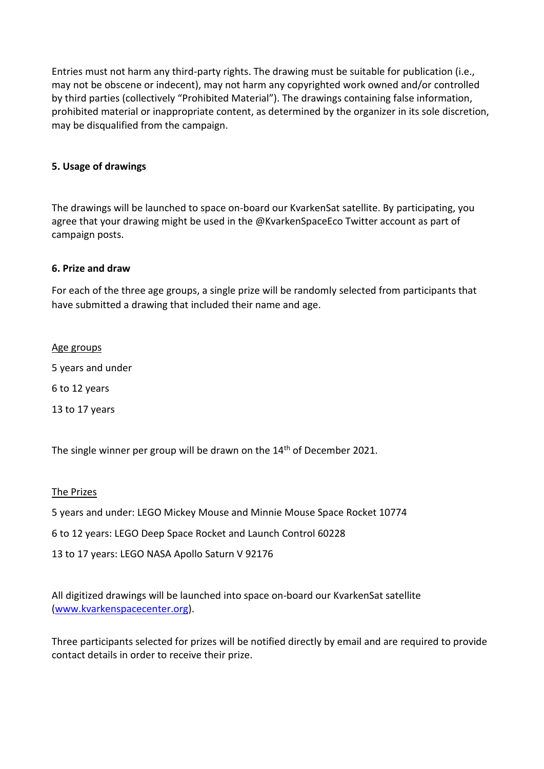Entries must not harm any third-party rights. The drawing must be suitable for publication (i.e., may not be obscene or indecent), may not harm any copyrighted work owned and/or controlled by third parties (collectively "Prohibited Material"). The drawings containing false information, prohibited material or inappropriate content, as determined by the organizer in its sole discretion, may be disqualified from the campaign.

### **5. Usage of drawings**

The drawings will be launched to space on-board our KvarkenSat satellite. By participating, you agree that your drawing might be used in the @KvarkenSpaceEco Twitter account as part of campaign posts.

#### **6. Prize and draw**

For each of the three age groups, a single prize will be randomly selected from participants that have submitted a drawing that included their name and age.

#### Age groups

5 years and under

6 to 12 years

13 to 17 years

The single winner per group will be drawn on the 14<sup>th</sup> of December 2021.

#### The Prizes

5 years and under: LEGO Mickey Mouse and Minnie Mouse Space Rocket 10774

6 to 12 years: LEGO Deep Space Rocket and Launch Control 60228

13 to 17 years: LEGO NASA Apollo Saturn V 92176

All digitized drawings will be launched into space on-board our KvarkenSat satellite (www.kvarkenspacecenter.org).

Three participants selected for prizes will be notified directly by email and are required to provide contact details in order to receive their prize.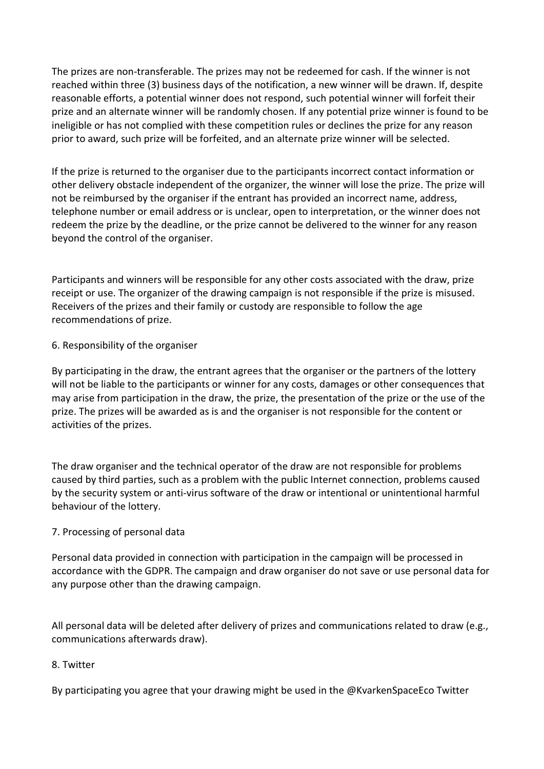The prizes are non-transferable. The prizes may not be redeemed for cash. If the winner is not reached within three (3) business days of the notification, a new winner will be drawn. If, despite reasonable efforts, a potential winner does not respond, such potential winner will forfeit their prize and an alternate winner will be randomly chosen. If any potential prize winner is found to be ineligible or has not complied with these competition rules or declines the prize for any reason prior to award, such prize will be forfeited, and an alternate prize winner will be selected.

If the prize is returned to the organiser due to the participants incorrect contact information or other delivery obstacle independent of the organizer, the winner will lose the prize. The prize will not be reimbursed by the organiser if the entrant has provided an incorrect name, address, telephone number or email address or is unclear, open to interpretation, or the winner does not redeem the prize by the deadline, or the prize cannot be delivered to the winner for any reason beyond the control of the organiser.

Participants and winners will be responsible for any other costs associated with the draw, prize receipt or use. The organizer of the drawing campaign is not responsible if the prize is misused. Receivers of the prizes and their family or custody are responsible to follow the age recommendations of prize.

## 6. Responsibility of the organiser

By participating in the draw, the entrant agrees that the organiser or the partners of the lottery will not be liable to the participants or winner for any costs, damages or other consequences that may arise from participation in the draw, the prize, the presentation of the prize or the use of the prize. The prizes will be awarded as is and the organiser is not responsible for the content or activities of the prizes.

The draw organiser and the technical operator of the draw are not responsible for problems caused by third parties, such as a problem with the public Internet connection, problems caused by the security system or anti-virus software of the draw or intentional or unintentional harmful behaviour of the lottery.

## 7. Processing of personal data

Personal data provided in connection with participation in the campaign will be processed in accordance with the GDPR. The campaign and draw organiser do not save or use personal data for any purpose other than the drawing campaign.

All personal data will be deleted after delivery of prizes and communications related to draw (e.g., communications afterwards draw).

#### 8. Twitter

By participating you agree that your drawing might be used in the @KvarkenSpaceEco Twitter